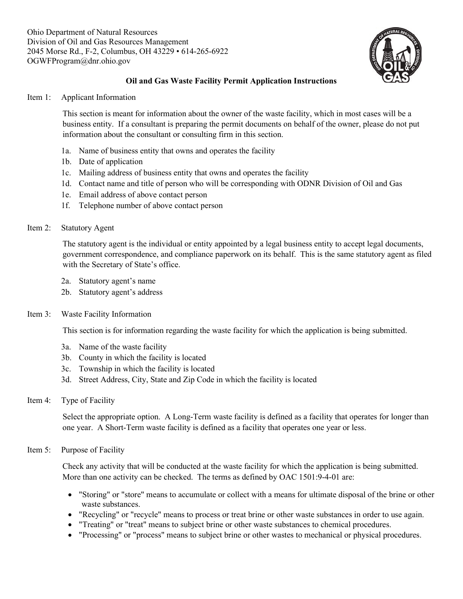

# **Oil and Gas Waste Facility Permit Application Instructions**

Item 1: Applicant Information

This section is meant for information about the owner of the waste facility, which in most cases will be a business entity. If a consultant is preparing the permit documents on behalf of the owner, please do not put information about the consultant or consulting firm in this section.

- 1a. Name of business entity that owns and operates the facility
- 1b. Date of application
- 1c. Mailing address of business entity that owns and operates the facility
- 1d. Contact name and title of person who will be corresponding with ODNR Division of Oil and Gas
- 1e. Email address of above contact person
- 1f. Telephone number of above contact person

# Item 2: Statutory Agent

The statutory agent is the individual or entity appointed by a legal business entity to accept legal documents, government correspondence, and compliance paperwork on its behalf. This is the same statutory agent as filed with the Secretary of State's office.

- 2a. Statutory agent's name
- 2b. Statutory agent's address

# Item 3: Waste Facility Information

This section is for information regarding the waste facility for which the application is being submitted.

- 3a. Name of the waste facility
- 3b. County in which the facility is located
- 3c. Township in which the facility is located
- 3d. Street Address, City, State and Zip Code in which the facility is located
- Item 4: Type of Facility

Select the appropriate option. A Long-Term waste facility is defined as a facility that operates for longer than one year. A Short-Term waste facility is defined as a facility that operates one year or less.

# Item 5: Purpose of Facility

Check any activity that will be conducted at the waste facility for which the application is being submitted. More than one activity can be checked. The terms as defined by OAC 1501:9-4-01 are:

- "Storing" or "store" means to accumulate or collect with a means for ultimate disposal of the brine or other waste substances.
- "Recycling" or "recycle" means to process or treat brine or other waste substances in order to use again.
- "Treating" or "treat" means to subject brine or other waste substances to chemical procedures.
- "Processing" or "process" means to subject brine or other wastes to mechanical or physical procedures.